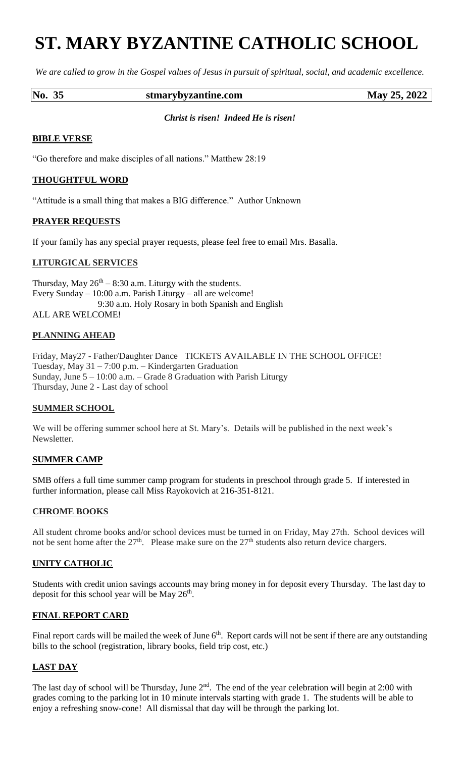# **ST. MARY BYZANTINE CATHOLIC SCHOOL**

*We are called to grow in the Gospel values of Jesus in pursuit of spiritual, social, and academic excellence.*

#### **No. 35 stmarybyzantine.com May 25, 2022**

#### *Christ is risen! Indeed He is risen!*

## **BIBLE VERSE**

"Go therefore and make disciples of all nations." Matthew 28:19

## **THOUGHTFUL WORD**

"Attitude is a small thing that makes a BIG difference." Author Unknown

## **PRAYER REQUESTS**

If your family has any special prayer requests, please feel free to email Mrs. Basalla.

## **LITURGICAL SERVICES**

Thursday, May  $26<sup>th</sup> - 8:30$  a.m. Liturgy with the students. Every Sunday – 10:00 a.m. Parish Liturgy – all are welcome! 9:30 a.m. Holy Rosary in both Spanish and English ALL ARE WELCOME!

## **PLANNING AHEAD**

Friday, May27 - Father/Daughter Dance TICKETS AVAILABLE IN THE SCHOOL OFFICE! Tuesday, May 31 – 7:00 p.m. – Kindergarten Graduation Sunday, June 5 – 10:00 a.m. – Grade 8 Graduation with Parish Liturgy Thursday, June 2 - Last day of school

#### **SUMMER SCHOOL**

We will be offering summer school here at St. Mary's. Details will be published in the next week's Newsletter.

# **SUMMER CAMP**

SMB offers a full time summer camp program for students in preschool through grade 5. If interested in further information, please call Miss Rayokovich at 216-351-8121.

#### **CHROME BOOKS**

All student chrome books and/or school devices must be turned in on Friday, May 27th. School devices will not be sent home after the  $27<sup>th</sup>$ . Please make sure on the  $27<sup>th</sup>$  students also return device chargers.

# **UNITY CATHOLIC**

Students with credit union savings accounts may bring money in for deposit every Thursday. The last day to deposit for this school year will be May  $26<sup>th</sup>$ .

# **FINAL REPORT CARD**

Final report cards will be mailed the week of June  $6<sup>th</sup>$ . Report cards will not be sent if there are any outstanding bills to the school (registration, library books, field trip cost, etc.)

# **LAST DAY**

The last day of school will be Thursday, June  $2<sup>nd</sup>$ . The end of the year celebration will begin at 2:00 with grades coming to the parking lot in 10 minute intervals starting with grade 1. The students will be able to enjoy a refreshing snow-cone! All dismissal that day will be through the parking lot.